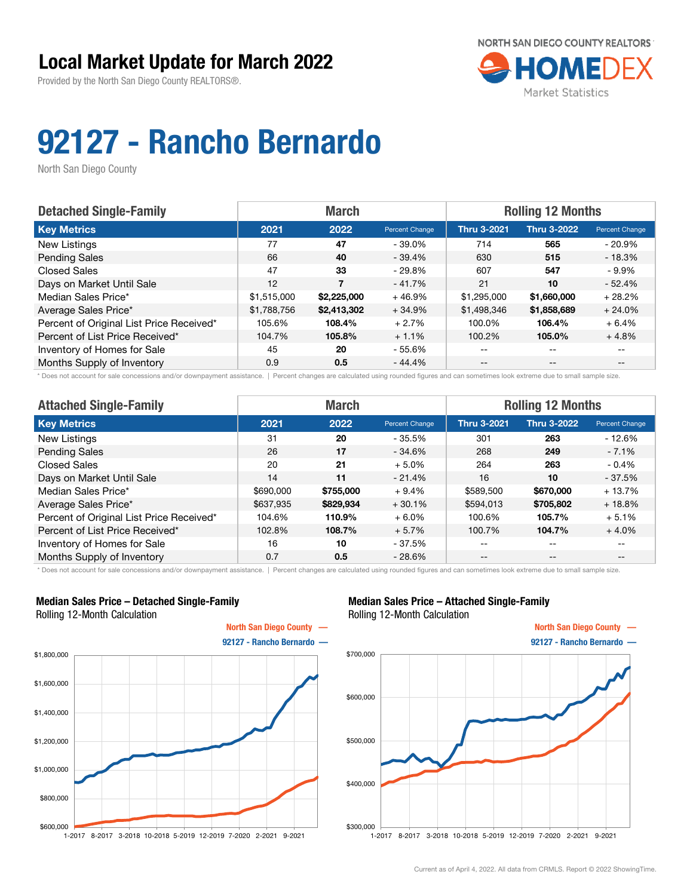Provided by the North San Diego County REALTORS®.



# 92127 - Rancho Bernardo

North San Diego County

| <b>Detached Single-Family</b>            |             | <b>March</b> |                | <b>Rolling 12 Months</b> |                    |                          |
|------------------------------------------|-------------|--------------|----------------|--------------------------|--------------------|--------------------------|
| <b>Key Metrics</b>                       | 2021        | 2022         | Percent Change | <b>Thru 3-2021</b>       | <b>Thru 3-2022</b> | Percent Change           |
| New Listings                             | 77          | 47           | - 39.0%        | 714                      | 565                | $-20.9\%$                |
| <b>Pending Sales</b>                     | 66          | 40           | $-39.4\%$      | 630                      | 515                | $-18.3%$                 |
| <b>Closed Sales</b>                      | 47          | 33           | - 29.8%        | 607                      | 547                | $-9.9\%$                 |
| Days on Market Until Sale                | 12          | 7            | $-41.7%$       | 21                       | 10                 | $-52.4%$                 |
| Median Sales Price*                      | \$1,515,000 | \$2,225,000  | $+46.9%$       | \$1,295,000              | \$1,660,000        | $+28.2%$                 |
| Average Sales Price*                     | \$1,788,756 | \$2,413,302  | $+34.9%$       | \$1,498,346              | \$1,858,689        | $+24.0%$                 |
| Percent of Original List Price Received* | 105.6%      | 108.4%       | $+2.7%$        | 100.0%                   | 106.4%             | $+6.4%$                  |
| Percent of List Price Received*          | 104.7%      | 105.8%       | $+1.1%$        | 100.2%                   | 105.0%             | $+4.8%$                  |
| Inventory of Homes for Sale              | 45          | 20           | $-55.6%$       | --                       | --                 |                          |
| Months Supply of Inventory               | 0.9         | 0.5          | $-44.4%$       | $- -$                    | $-$                | $\overline{\phantom{m}}$ |

\* Does not account for sale concessions and/or downpayment assistance. | Percent changes are calculated using rounded figures and can sometimes look extreme due to small sample size.

| <b>Attached Single-Family</b>            | <b>March</b> |           |                | <b>Rolling 12 Months</b> |                    |                |  |
|------------------------------------------|--------------|-----------|----------------|--------------------------|--------------------|----------------|--|
| <b>Key Metrics</b>                       | 2021         | 2022      | Percent Change | <b>Thru 3-2021</b>       | <b>Thru 3-2022</b> | Percent Change |  |
| <b>New Listings</b>                      | 31           | 20        | $-35.5%$       | 301                      | 263                | $-12.6%$       |  |
| <b>Pending Sales</b>                     | 26           | 17        | $-34.6%$       | 268                      | 249                | $-7.1%$        |  |
| <b>Closed Sales</b>                      | 20           | 21        | $+5.0%$        | 264                      | 263                | $-0.4%$        |  |
| Days on Market Until Sale                | 14           | 11        | $-21.4%$       | 16                       | 10                 | $-37.5%$       |  |
| Median Sales Price*                      | \$690,000    | \$755,000 | $+9.4%$        | \$589,500                | \$670,000          | $+13.7%$       |  |
| Average Sales Price*                     | \$637,935    | \$829,934 | $+30.1%$       | \$594,013                | \$705,802          | $+18.8%$       |  |
| Percent of Original List Price Received* | 104.6%       | 110.9%    | $+6.0%$        | 100.6%                   | 105.7%             | $+5.1%$        |  |
| Percent of List Price Received*          | 102.8%       | 108.7%    | $+5.7%$        | 100.7%                   | 104.7%             | $+4.0%$        |  |
| Inventory of Homes for Sale              | 16           | 10        | $-37.5%$       | --                       | $- -$              | $- -$          |  |
| Months Supply of Inventory               | 0.7          | 0.5       | $-28.6%$       | $- -$                    | $\qquad \qquad -$  | $- -$          |  |

\* Does not account for sale concessions and/or downpayment assistance. | Percent changes are calculated using rounded figures and can sometimes look extreme due to small sample size.

#### Median Sales Price – Detached Single-Family Rolling 12-Month Calculation



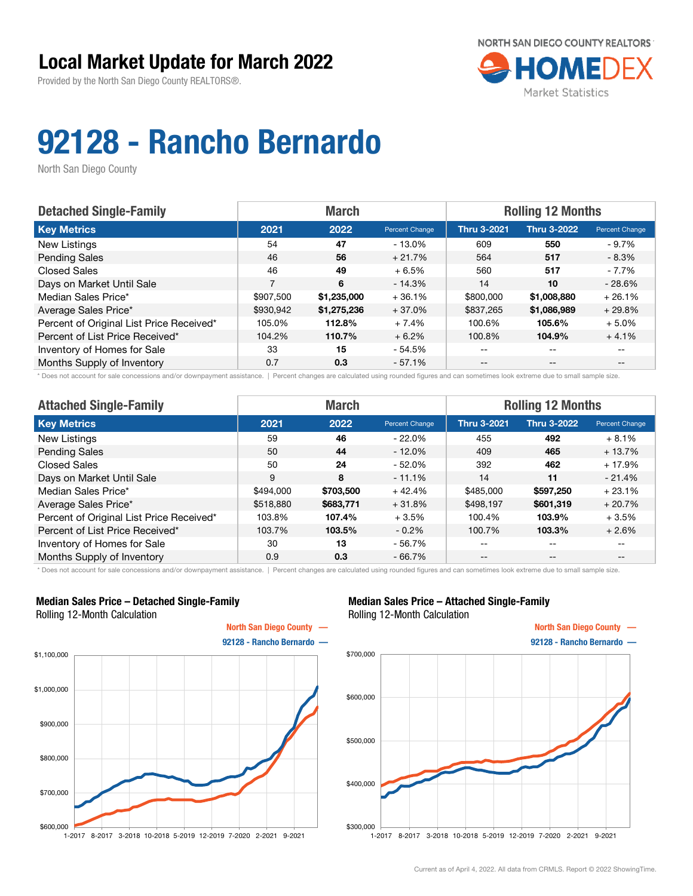Provided by the North San Diego County REALTORS®.



# 92128 - Rancho Bernardo

North San Diego County

| <b>Detached Single-Family</b>            | <b>Rolling 12 Months</b><br><b>March</b> |             |                |                    |                    |                       |
|------------------------------------------|------------------------------------------|-------------|----------------|--------------------|--------------------|-----------------------|
| <b>Key Metrics</b>                       | 2021                                     | 2022        | Percent Change | <b>Thru 3-2021</b> | <b>Thru 3-2022</b> | <b>Percent Change</b> |
| New Listings                             | 54                                       | 47          | $-13.0\%$      | 609                | 550                | - 9.7%                |
| <b>Pending Sales</b>                     | 46                                       | 56          | $+21.7%$       | 564                | 517                | - 8.3%                |
| <b>Closed Sales</b>                      | 46                                       | 49          | $+6.5%$        | 560                | 517                | - 7.7%                |
| Days on Market Until Sale                | 7                                        | 6           | $-14.3%$       | 14                 | 10                 | $-28.6%$              |
| Median Sales Price*                      | \$907,500                                | \$1,235,000 | $+36.1%$       | \$800,000          | \$1,008,880        | $+26.1%$              |
| Average Sales Price*                     | \$930,942                                | \$1,275,236 | $+37.0%$       | \$837,265          | \$1,086,989        | $+29.8%$              |
| Percent of Original List Price Received* | 105.0%                                   | 112.8%      | $+7.4%$        | 100.6%             | 105.6%             | $+5.0\%$              |
| Percent of List Price Received*          | 104.2%                                   | 110.7%      | $+6.2%$        | 100.8%             | 104.9%             | $+4.1%$               |
| Inventory of Homes for Sale              | 33                                       | 15          | - 54.5%        | --                 | --                 |                       |
| Months Supply of Inventory               | 0.7                                      | 0.3         | $-57.1%$       | --                 | $-$                | $- -$                 |

\* Does not account for sale concessions and/or downpayment assistance. | Percent changes are calculated using rounded figures and can sometimes look extreme due to small sample size.

| <b>Attached Single-Family</b>            | <b>March</b> |           |                | <b>Rolling 12 Months</b> |                    |                                       |  |
|------------------------------------------|--------------|-----------|----------------|--------------------------|--------------------|---------------------------------------|--|
| <b>Key Metrics</b>                       | 2021         | 2022      | Percent Change | <b>Thru 3-2021</b>       | <b>Thru 3-2022</b> | Percent Change                        |  |
| New Listings                             | 59           | 46        | $-22.0\%$      | 455                      | 492                | $+8.1%$                               |  |
| <b>Pending Sales</b>                     | 50           | 44        | $-12.0\%$      | 409                      | 465                | $+13.7%$                              |  |
| <b>Closed Sales</b>                      | 50           | 24        | $-52.0%$       | 392                      | 462                | $+17.9%$                              |  |
| Days on Market Until Sale                | 9            | 8         | $-11.1%$       | 14                       | 11                 | $-21.4%$                              |  |
| Median Sales Price*                      | \$494,000    | \$703,500 | $+42.4%$       | \$485,000                | \$597.250          | $+23.1%$                              |  |
| Average Sales Price*                     | \$518,880    | \$683,771 | $+31.8%$       | \$498,197                | \$601,319          | $+20.7%$                              |  |
| Percent of Original List Price Received* | 103.8%       | 107.4%    | $+3.5%$        | 100.4%                   | 103.9%             | $+3.5%$                               |  |
| Percent of List Price Received*          | 103.7%       | 103.5%    | $-0.2\%$       | 100.7%                   | 103.3%             | $+2.6%$                               |  |
| Inventory of Homes for Sale              | 30           | 13        | $-56.7%$       | --                       | $- -$              | --                                    |  |
| Months Supply of Inventory               | 0.9          | 0.3       | $-66.7%$       | $- -$                    | $\qquad \qquad -$  | $\hspace{0.05cm}$ – $\hspace{0.05cm}$ |  |

\* Does not account for sale concessions and/or downpayment assistance. | Percent changes are calculated using rounded figures and can sometimes look extreme due to small sample size.

### Median Sales Price – Detached Single-Family Rolling 12-Month Calculation



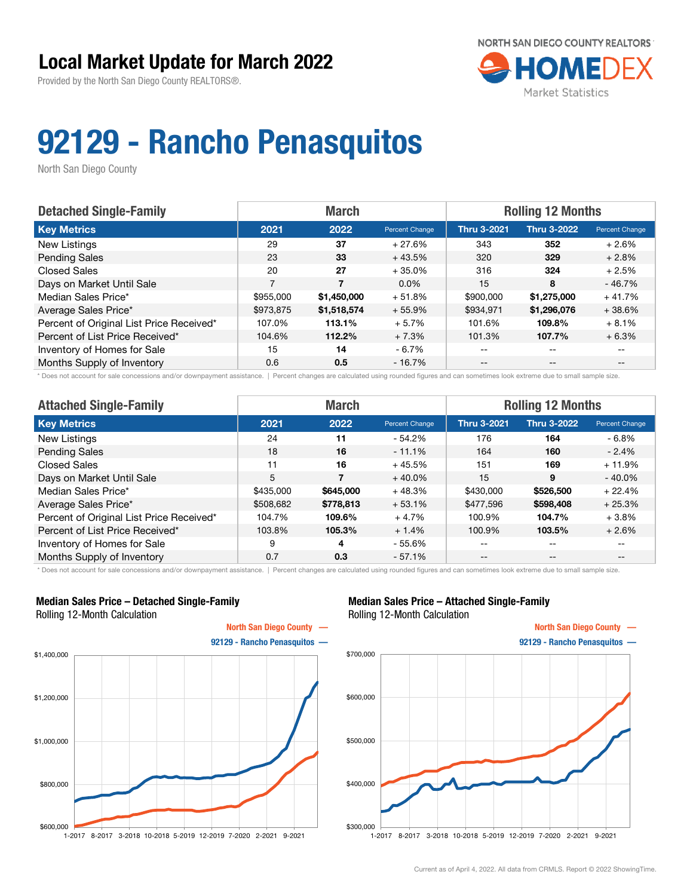Provided by the North San Diego County REALTORS®.



## 92129 - Rancho Penasquitos

North San Diego County

| <b>Detached Single-Family</b>            | <b>March</b><br><b>Rolling 12 Months</b> |             |                |                    |                    |                          |
|------------------------------------------|------------------------------------------|-------------|----------------|--------------------|--------------------|--------------------------|
| <b>Key Metrics</b>                       | 2021                                     | 2022        | Percent Change | <b>Thru 3-2021</b> | <b>Thru 3-2022</b> | Percent Change           |
| New Listings                             | 29                                       | 37          | $+27.6%$       | 343                | 352                | $+2.6%$                  |
| <b>Pending Sales</b>                     | 23                                       | 33          | $+43.5%$       | 320                | 329                | $+2.8%$                  |
| <b>Closed Sales</b>                      | 20                                       | 27          | $+35.0%$       | 316                | 324                | $+2.5%$                  |
| Days on Market Until Sale                | 7                                        | 7           | $0.0\%$        | 15                 | 8                  | $-46.7%$                 |
| Median Sales Price*                      | \$955,000                                | \$1,450,000 | $+51.8%$       | \$900,000          | \$1,275,000        | $+41.7%$                 |
| Average Sales Price*                     | \$973.875                                | \$1,518,574 | $+55.9%$       | \$934.971          | \$1,296,076        | $+38.6%$                 |
| Percent of Original List Price Received* | 107.0%                                   | 113.1%      | $+5.7%$        | 101.6%             | 109.8%             | $+8.1%$                  |
| Percent of List Price Received*          | 104.6%                                   | 112.2%      | $+7.3%$        | 101.3%             | 107.7%             | $+6.3%$                  |
| Inventory of Homes for Sale              | 15                                       | 14          | $-6.7%$        | --                 | --                 |                          |
| Months Supply of Inventory               | 0.6                                      | 0.5         | $-16.7\%$      | $- -$              | $\qquad \qquad -$  | $\overline{\phantom{m}}$ |

\* Does not account for sale concessions and/or downpayment assistance. | Percent changes are calculated using rounded figures and can sometimes look extreme due to small sample size.

| <b>Attached Single-Family</b>            | <b>March</b> |           |                | <b>Rolling 12 Months</b> |                    |                                       |  |
|------------------------------------------|--------------|-----------|----------------|--------------------------|--------------------|---------------------------------------|--|
| <b>Key Metrics</b>                       | 2021         | 2022      | Percent Change | <b>Thru 3-2021</b>       | <b>Thru 3-2022</b> | Percent Change                        |  |
| New Listings                             | 24           | 11        | $-54.2%$       | 176                      | 164                | $-6.8\%$                              |  |
| <b>Pending Sales</b>                     | 18           | 16        | $-11.1%$       | 164                      | 160                | $-2.4%$                               |  |
| <b>Closed Sales</b>                      | 11           | 16        | $+45.5%$       | 151                      | 169                | $+11.9%$                              |  |
| Days on Market Until Sale                | 5            |           | $+40.0%$       | 15                       | 9                  | $-40.0%$                              |  |
| Median Sales Price*                      | \$435,000    | \$645,000 | $+48.3%$       | \$430,000                | \$526,500          | $+22.4%$                              |  |
| Average Sales Price*                     | \$508,682    | \$778,813 | $+53.1%$       | \$477,596                | \$598,408          | $+25.3%$                              |  |
| Percent of Original List Price Received* | 104.7%       | 109.6%    | $+4.7%$        | 100.9%                   | 104.7%             | $+3.8\%$                              |  |
| Percent of List Price Received*          | 103.8%       | 105.3%    | $+1.4%$        | 100.9%                   | 103.5%             | $+2.6%$                               |  |
| Inventory of Homes for Sale              | 9            | 4         | $-55.6%$       | --                       | $- -$              | --                                    |  |
| Months Supply of Inventory               | 0.7          | 0.3       | $-57.1%$       | $- -$                    | $\qquad \qquad -$  | $\hspace{0.05cm}$ – $\hspace{0.05cm}$ |  |

\* Does not account for sale concessions and/or downpayment assistance. | Percent changes are calculated using rounded figures and can sometimes look extreme due to small sample size.

### Median Sales Price – Detached Single-Family Rolling 12-Month Calculation



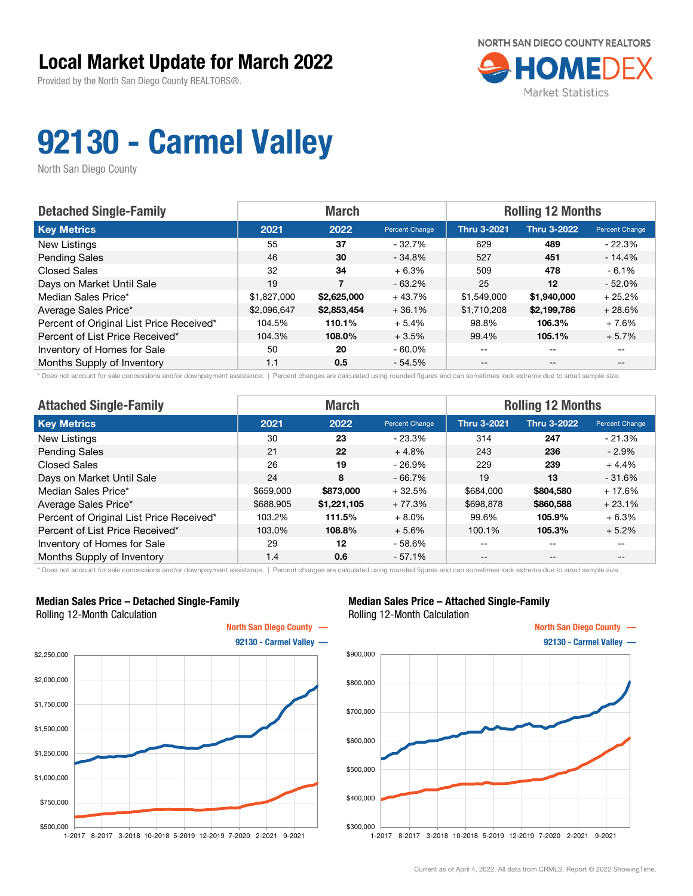## Local Market Update for March 2022

Provided by the North San Diego County REALTORS®.



# 92130 - Carmel Valley

North San Diego County

| <b>Detached Single-Family</b>            | <b>Rolling 12 Months</b><br><b>March</b> |             |                |                    |                    |                       |
|------------------------------------------|------------------------------------------|-------------|----------------|--------------------|--------------------|-----------------------|
| <b>Key Metrics</b>                       | 2021                                     | 2022        | Percent Change | <b>Thru 3-2021</b> | <b>Thru 3-2022</b> | <b>Percent Change</b> |
| New Listings                             | 55                                       | 37          | - 32.7%        | 629                | 489                | $-22.3\%$             |
| <b>Pending Sales</b>                     | 46                                       | 30          | $-34.8%$       | 527                | 451                | $-14.4%$              |
| <b>Closed Sales</b>                      | 32                                       | 34          | $+6.3%$        | 509                | 478                | $-6.1%$               |
| Days on Market Until Sale                | 19                                       | 7           | $-63.2\%$      | 25                 | 12                 | $-52.0%$              |
| Median Sales Price*                      | \$1,827,000                              | \$2,625,000 | $+43.7%$       | \$1,549,000        | \$1,940,000        | $+25.2%$              |
| Average Sales Price*                     | \$2,096,647                              | \$2,853,454 | $+36.1%$       | \$1,710,208        | \$2,199,786        | $+28.6%$              |
| Percent of Original List Price Received* | 104.5%                                   | 110.1%      | $+5.4%$        | 98.8%              | 106.3%             | $+7.6%$               |
| Percent of List Price Received*          | 104.3%                                   | 108.0%      | $+3.5%$        | 99.4%              | 105.1%             | $+5.7%$               |
| Inventory of Homes for Sale              | 50                                       | 20          | $-60.0\%$      | --                 | --                 |                       |
| Months Supply of Inventory               | 1.1                                      | 0.5         | $-54.5%$       | --                 | $-$                | $- -$                 |

\* Does not account for sale concessions and/or downpayment assistance. | Percent changes are calculated using rounded figures and can sometimes look extreme due to small sample size.

| <b>Attached Single-Family</b>            | <b>March</b> |             |                | <b>Rolling 12 Months</b> |                    |                |
|------------------------------------------|--------------|-------------|----------------|--------------------------|--------------------|----------------|
| <b>Key Metrics</b>                       | 2021         | 2022        | Percent Change | <b>Thru 3-2021</b>       | <b>Thru 3-2022</b> | Percent Change |
| New Listings                             | 30           | 23          | $-23.3%$       | 314                      | 247                | $-21.3%$       |
| <b>Pending Sales</b>                     | 21           | 22          | $+4.8%$        | 243                      | 236                | $-2.9\%$       |
| <b>Closed Sales</b>                      | 26           | 19          | $-26.9%$       | 229                      | 239                | $+4.4%$        |
| Days on Market Until Sale                | 24           | 8           | $-66.7%$       | 19                       | 13                 | $-31.6%$       |
| Median Sales Price*                      | \$659,000    | \$873,000   | $+32.5%$       | \$684,000                | \$804,580          | $+17.6%$       |
| Average Sales Price*                     | \$688,905    | \$1,221,105 | $+77.3%$       | \$698,878                | \$860,588          | $+23.1%$       |
| Percent of Original List Price Received* | 103.2%       | 111.5%      | $+8.0%$        | 99.6%                    | 105.9%             | $+6.3%$        |
| Percent of List Price Received*          | 103.0%       | 108.8%      | $+5.6%$        | 100.1%                   | 105.3%             | $+5.2%$        |
| Inventory of Homes for Sale              | 29           | 12          | $-58.6%$       | --                       | $- -$              | $- -$          |
| Months Supply of Inventory               | 1.4          | 0.6         | $-57.1%$       | $- -$                    | $- -$              | --             |

\* Does not account for sale concessions and/or downpayment assistance. | Percent changes are calculated using rounded figures and can sometimes look extreme due to small sample size.

## Median Sales Price – Detached Single-Family Rolling 12-Month Calculation